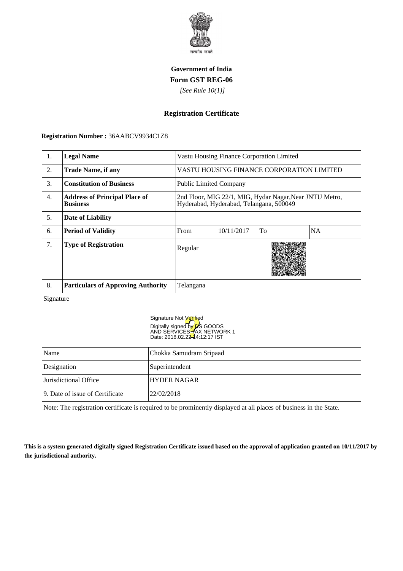

### **Government of India Form GST REG-06**

 *[See Rule 10(1)]*

# **Registration Certificate**

#### **Registration Number :** 36AABCV9934C1Z8

| 1.                                            | <b>Legal Name</b>                                                                                                  |                                                                                                                              | Vastu Housing Finance Corporation Limited                                                          |            |    |           |  |
|-----------------------------------------------|--------------------------------------------------------------------------------------------------------------------|------------------------------------------------------------------------------------------------------------------------------|----------------------------------------------------------------------------------------------------|------------|----|-----------|--|
| 2.                                            | <b>Trade Name, if any</b>                                                                                          |                                                                                                                              | VASTU HOUSING FINANCE CORPORATION LIMITED                                                          |            |    |           |  |
| 3.                                            | <b>Constitution of Business</b>                                                                                    |                                                                                                                              | <b>Public Limited Company</b>                                                                      |            |    |           |  |
| 4.                                            | <b>Address of Principal Place of</b><br><b>Business</b>                                                            |                                                                                                                              | 2nd Floor, MIG 22/1, MIG, Hydar Nagar, Near JNTU Metro,<br>Hyderabad, Hyderabad, Telangana, 500049 |            |    |           |  |
| 5.                                            | Date of Liability                                                                                                  |                                                                                                                              |                                                                                                    |            |    |           |  |
| 6.                                            | <b>Period of Validity</b>                                                                                          |                                                                                                                              | From                                                                                               | 10/11/2017 | To | <b>NA</b> |  |
| 7.                                            | <b>Type of Registration</b>                                                                                        |                                                                                                                              | Regular                                                                                            |            |    |           |  |
| 8.                                            | <b>Particulars of Approving Authority</b>                                                                          |                                                                                                                              | Telangana                                                                                          |            |    |           |  |
| Signature                                     |                                                                                                                    | Signature Not Verified<br>Digitally signed by <b>D</b> S GOODS<br>AND SERVICES TAX NETWORK 1<br>Date: 2018.02.2244:12:17 IST |                                                                                                    |            |    |           |  |
| Name                                          |                                                                                                                    | Chokka Samudram Sripaad                                                                                                      |                                                                                                    |            |    |           |  |
| Designation<br>Superintendent                 |                                                                                                                    |                                                                                                                              |                                                                                                    |            |    |           |  |
| Jurisdictional Office                         |                                                                                                                    | <b>HYDER NAGAR</b>                                                                                                           |                                                                                                    |            |    |           |  |
| 9. Date of issue of Certificate<br>22/02/2018 |                                                                                                                    |                                                                                                                              |                                                                                                    |            |    |           |  |
|                                               | Note: The registration certificate is required to be prominently displayed at all places of business in the State. |                                                                                                                              |                                                                                                    |            |    |           |  |

**This is a system generated digitally signed Registration Certificate issued based on the approval of application granted on 10/11/2017 by the jurisdictional authority.**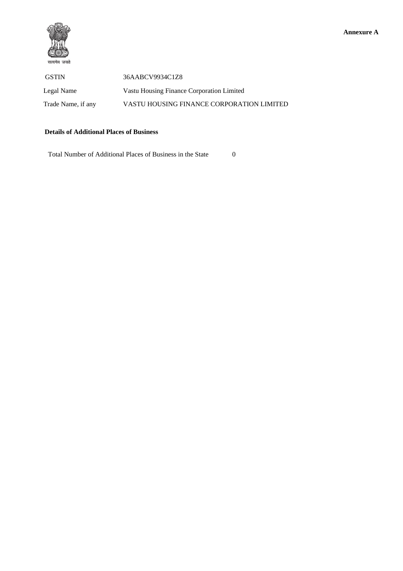

 GSTIN 36AABCV9934C1Z8 Legal Name Vastu Housing Finance Corporation Limited Trade Name, if any VASTU HOUSING FINANCE CORPORATION LIMITED

### **Details of Additional Places of Business**

Total Number of Additional Places of Business in the State 0